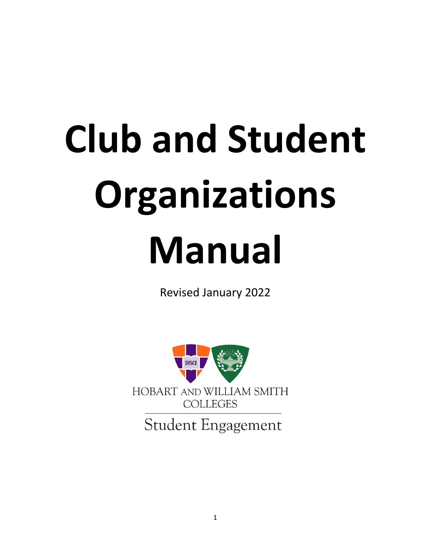# **Club and Student Organizations Manual**

Revised January 2022



**Student Engagement**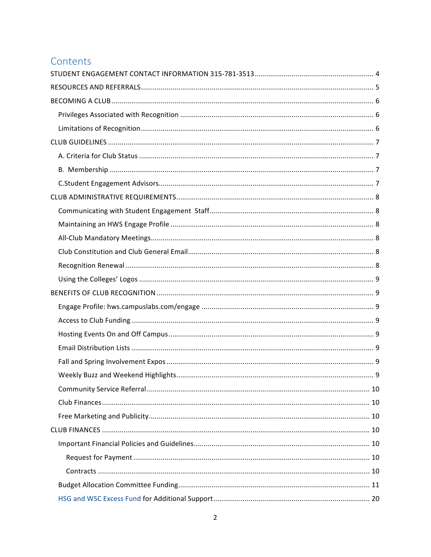# Contents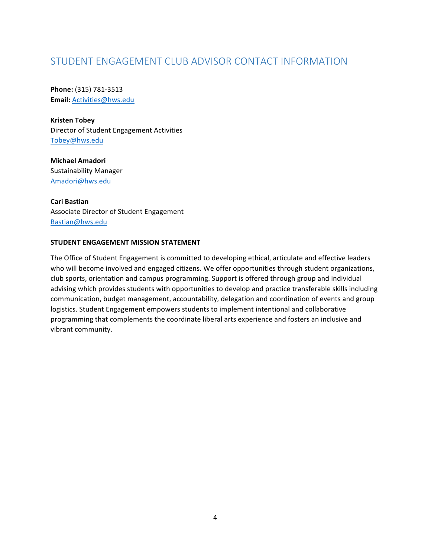# STUDENT ENGAGEMENT CLUB ADVISOR CONTACT INFORMATION

**Phone:** (315) 781-3513 **Email:** Activities@hws.edu

**Kristen Tobey** Director of Student Engagement Activities Tobey@hws.edu

**Michael Amadori** Sustainability Manager Amadori@hws.edu

Cari Bastian Associate Director of Student Engagement Bastian@hws.edu 

#### **STUDENT ENGAGEMENT MISSION STATEMENT**

The Office of Student Engagement is committed to developing ethical, articulate and effective leaders who will become involved and engaged citizens. We offer opportunities through student organizations, club sports, orientation and campus programming. Support is offered through group and individual advising which provides students with opportunities to develop and practice transferable skills including communication, budget management, accountability, delegation and coordination of events and group logistics. Student Engagement empowers students to implement intentional and collaborative programming that complements the coordinate liberal arts experience and fosters an inclusive and vibrant community.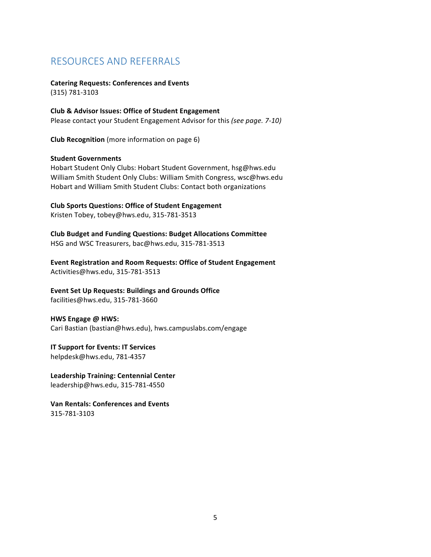# RESOURCES AND REFERRALS

#### **Catering Requests: Conferences and Events** (315) 781-3103

**Club & Advisor Issues: Office of Student Engagement** Please contact your Student Engagement Advisor for this *(see page.* 7-10)

**Club Recognition** (more information on page 6)

#### **Student Governments**

Hobart Student Only Clubs: Hobart Student Government, hsg@hws.edu William Smith Student Only Clubs: William Smith Congress, wsc@hws.edu Hobart and William Smith Student Clubs: Contact both organizations

**Club Sports Questions: Office of Student Engagement** Kristen Tobey, tobey@hws.edu, 315-781-3513

**Club Budget and Funding Questions: Budget Allocations Committee** HSG and WSC Treasurers, bac@hws.edu, 315-781-3513

**Event Registration and Room Requests: Office of Student Engagement** Activities@hws.edu, 315-781-3513

**Event Set Up Requests: Buildings and Grounds Office** facilities@hws.edu, 315-781-3660

**HWS Engage @ HWS:** Cari Bastian (bastian@hws.edu), hws.campuslabs.com/engage

**IT Support for Events: IT Services** helpdesk@hws.edu, 781-4357

**Leadership Training: Centennial Center** leadership@hws.edu, 315-781-4550

**Van Rentals: Conferences and Events** 315-781-3103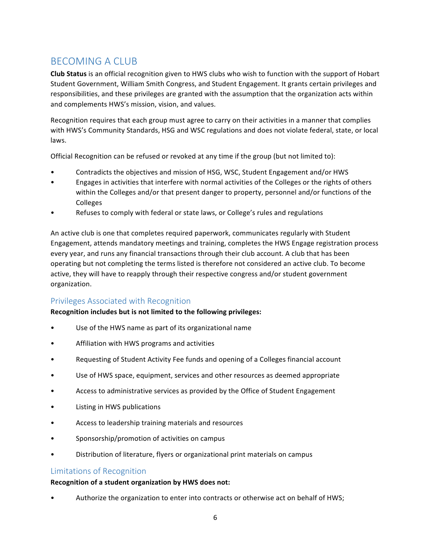# BECOMING A CLUB

**Club Status** is an official recognition given to HWS clubs who wish to function with the support of Hobart Student Government, William Smith Congress, and Student Engagement. It grants certain privileges and responsibilities, and these privileges are granted with the assumption that the organization acts within and complements HWS's mission, vision, and values.

Recognition requires that each group must agree to carry on their activities in a manner that complies with HWS's Community Standards, HSG and WSC regulations and does not violate federal, state, or local laws. 

Official Recognition can be refused or revoked at any time if the group (but not limited to):

- Contradicts the objectives and mission of HSG, WSC, Student Engagement and/or HWS
- Engages in activities that interfere with normal activities of the Colleges or the rights of others within the Colleges and/or that present danger to property, personnel and/or functions of the Colleges
- Refuses to comply with federal or state laws, or College's rules and regulations

An active club is one that completes required paperwork, communicates regularly with Student Engagement, attends mandatory meetings and training, completes the HWS Engage registration process every year, and runs any financial transactions through their club account. A club that has been operating but not completing the terms listed is therefore not considered an active club. To become active, they will have to reapply through their respective congress and/or student government organization. 

## Privileges Associated with Recognition

## **Recognition includes but is not limited to the following privileges:**

- Use of the HWS name as part of its organizational name
- Affiliation with HWS programs and activities
- Requesting of Student Activity Fee funds and opening of a Colleges financial account
- Use of HWS space, equipment, services and other resources as deemed appropriate
- Access to administrative services as provided by the Office of Student Engagement
- Listing in HWS publications
- Access to leadership training materials and resources
- Sponsorship/promotion of activities on campus
- Distribution of literature, flyers or organizational print materials on campus

## Limitations of Recognition

## Recognition of a student organization by HWS does not:

Authorize the organization to enter into contracts or otherwise act on behalf of HWS;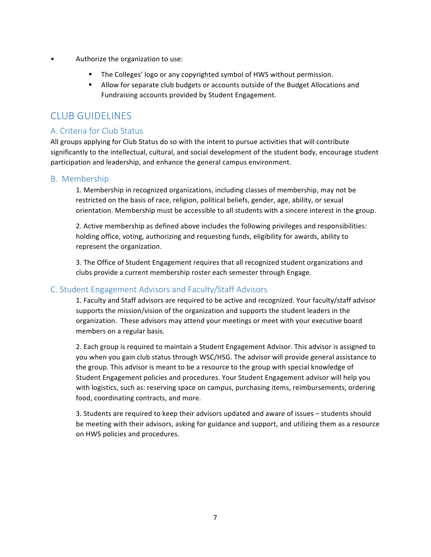- Authorize the organization to use:
	- The Colleges' logo or any copyrighted symbol of HWS without permission.
	- **E** Allow for separate club budgets or accounts outside of the Budget Allocations and Fundraising accounts provided by Student Engagement.

# CLUB GUIDELINES

## A. Criteria for Club Status

All groups applying for Club Status do so with the intent to pursue activities that will contribute significantly to the intellectual, cultural, and social development of the student body, encourage student participation and leadership, and enhance the general campus environment.

## B. Membership

1. Membership in recognized organizations, including classes of membership, may not be restricted on the basis of race, religion, political beliefs, gender, age, ability, or sexual orientation. Membership must be accessible to all students with a sincere interest in the group.

2. Active membership as defined above includes the following privileges and responsibilities: holding office, voting, authorizing and requesting funds, eligibility for awards, ability to represent the organization.

3. The Office of Student Engagement requires that all recognized student organizations and clubs provide a current membership roster each semester through Engage.

## C. Student Engagement Advisors and Faculty/Staff Advisors

1. Faculty and Staff advisors are required to be active and recognized. Your faculty/staff advisor supports the mission/vision of the organization and supports the student leaders in the organization. These advisors may attend your meetings or meet with your executive board members on a regular basis.

2. Each group is required to maintain a Student Engagement Advisor. This advisor is assigned to you when you gain club status through WSC/HSG. The advisor will provide general assistance to the group. This advisor is meant to be a resource to the group with special knowledge of Student Engagement policies and procedures. Your Student Engagement advisor will help you with logistics, such as: reserving space on campus, purchasing items, reimbursements, ordering food, coordinating contracts, and more.

3. Students are required to keep their advisors updated and aware of issues - students should be meeting with their advisors, asking for guidance and support, and utilizing them as a resource on HWS policies and procedures.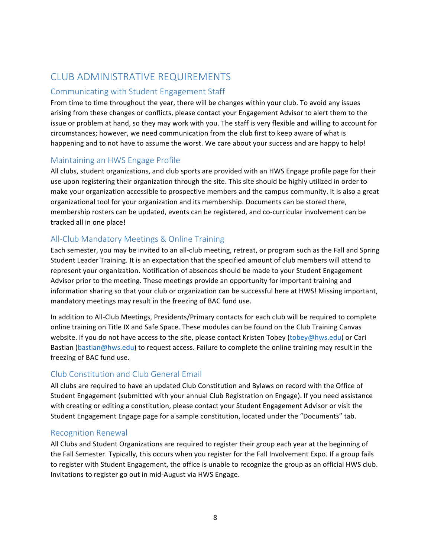# CLUB ADMINISTRATIVE REQUIREMENTS

## Communicating with Student Engagement Staff

From time to time throughout the year, there will be changes within your club. To avoid any issues arising from these changes or conflicts, please contact your Engagement Advisor to alert them to the issue or problem at hand, so they may work with you. The staff is very flexible and willing to account for circumstances; however, we need communication from the club first to keep aware of what is happening and to not have to assume the worst. We care about your success and are happy to help!

## Maintaining an HWS Engage Profile

All clubs, student organizations, and club sports are provided with an HWS Engage profile page for their use upon registering their organization through the site. This site should be highly utilized in order to make your organization accessible to prospective members and the campus community. It is also a great organizational tool for your organization and its membership. Documents can be stored there, membership rosters can be updated, events can be registered, and co-curricular involvement can be tracked all in one place!

## All-Club Mandatory Meetings & Online Training

Each semester, you may be invited to an all-club meeting, retreat, or program such as the Fall and Spring Student Leader Training. It is an expectation that the specified amount of club members will attend to represent your organization. Notification of absences should be made to your Student Engagement Advisor prior to the meeting. These meetings provide an opportunity for important training and information sharing so that your club or organization can be successful here at HWS! Missing important, mandatory meetings may result in the freezing of BAC fund use.

In addition to All-Club Meetings, Presidents/Primary contacts for each club will be required to complete online training on Title IX and Safe Space. These modules can be found on the Club Training Canvas website. If you do not have access to the site, please contact Kristen Tobey (tobey@hws.edu) or Cari Bastian (bastian@hws.edu) to request access. Failure to complete the online training may result in the freezing of BAC fund use.

## Club Constitution and Club General Email

All clubs are required to have an updated Club Constitution and Bylaws on record with the Office of Student Engagement (submitted with your annual Club Registration on Engage). If you need assistance with creating or editing a constitution, please contact your Student Engagement Advisor or visit the Student Engagement Engage page for a sample constitution, located under the "Documents" tab.

## Recognition Renewal

All Clubs and Student Organizations are required to register their group each year at the beginning of the Fall Semester. Typically, this occurs when you register for the Fall Involvement Expo. If a group fails to register with Student Engagement, the office is unable to recognize the group as an official HWS club. Invitations to register go out in mid-August via HWS Engage.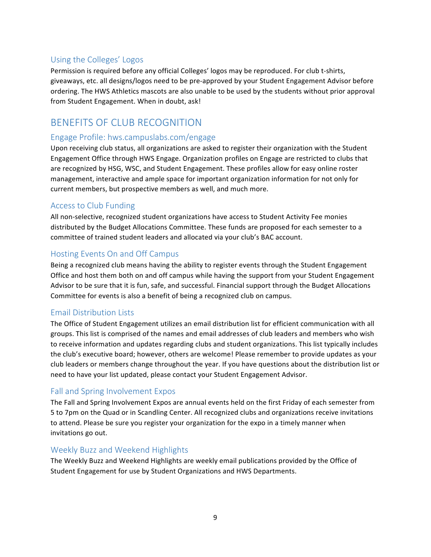## Using the Colleges' Logos

Permission is required before any official Colleges' logos may be reproduced. For club t-shirts, giveaways, etc. all designs/logos need to be pre-approved by your Student Engagement Advisor before ordering. The HWS Athletics mascots are also unable to be used by the students without prior approval from Student Engagement. When in doubt, ask!

# BENEFITS OF CLUB RECOGNITION

## Engage Profile: hws.campuslabs.com/engage

Upon receiving club status, all organizations are asked to register their organization with the Student Engagement Office through HWS Engage. Organization profiles on Engage are restricted to clubs that are recognized by HSG, WSC, and Student Engagement. These profiles allow for easy online roster management, interactive and ample space for important organization information for not only for current members, but prospective members as well, and much more.

## Access to Club Funding

All non-selective, recognized student organizations have access to Student Activity Fee monies distributed by the Budget Allocations Committee. These funds are proposed for each semester to a committee of trained student leaders and allocated via your club's BAC account.

## Hosting Events On and Off Campus

Being a recognized club means having the ability to register events through the Student Engagement Office and host them both on and off campus while having the support from your Student Engagement Advisor to be sure that it is fun, safe, and successful. Financial support through the Budget Allocations Committee for events is also a benefit of being a recognized club on campus.

## Email Distribution Lists

The Office of Student Engagement utilizes an email distribution list for efficient communication with all groups. This list is comprised of the names and email addresses of club leaders and members who wish to receive information and updates regarding clubs and student organizations. This list typically includes the club's executive board; however, others are welcome! Please remember to provide updates as your club leaders or members change throughout the year. If you have questions about the distribution list or need to have your list updated, please contact your Student Engagement Advisor.

## Fall and Spring Involvement Expos

The Fall and Spring Involvement Expos are annual events held on the first Friday of each semester from 5 to 7pm on the Quad or in Scandling Center. All recognized clubs and organizations receive invitations to attend. Please be sure you register your organization for the expo in a timely manner when invitations go out.

## Weekly Buzz and Weekend Highlights

The Weekly Buzz and Weekend Highlights are weekly email publications provided by the Office of Student Engagement for use by Student Organizations and HWS Departments.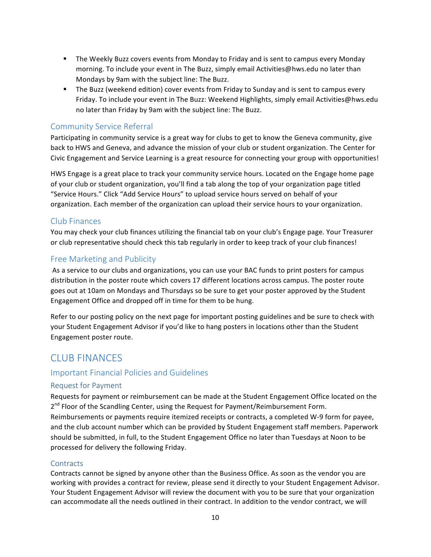- **•** The Weekly Buzz covers events from Monday to Friday and is sent to campus every Monday morning. To include your event in The Buzz, simply email Activities@hws.edu no later than Mondays by 9am with the subject line: The Buzz.
- **•** The Buzz (weekend edition) cover events from Friday to Sunday and is sent to campus every Friday. To include your event in The Buzz: Weekend Highlights, simply email Activities@hws.edu no later than Friday by 9am with the subject line: The Buzz.

## Community Service Referral

Participating in community service is a great way for clubs to get to know the Geneva community, give back to HWS and Geneva, and advance the mission of your club or student organization. The Center for Civic Engagement and Service Learning is a great resource for connecting your group with opportunities!

HWS Engage is a great place to track your community service hours. Located on the Engage home page of your club or student organization, you'll find a tab along the top of your organization page titled "Service Hours." Click "Add Service Hours" to upload service hours served on behalf of your organization. Each member of the organization can upload their service hours to your organization.

## Club Finances

You may check your club finances utilizing the financial tab on your club's Engage page. Your Treasurer or club representative should check this tab regularly in order to keep track of your club finances!

## Free Marketing and Publicity

As a service to our clubs and organizations, you can use your BAC funds to print posters for campus distribution in the poster route which covers 17 different locations across campus. The poster route goes out at 10am on Mondays and Thursdays so be sure to get your poster approved by the Student Engagement Office and dropped off in time for them to be hung.

Refer to our posting policy on the next page for important posting guidelines and be sure to check with your Student Engagement Advisor if you'd like to hang posters in locations other than the Student Engagement poster route.

## CLUB FINANCES

## Important Financial Policies and Guidelines

## Request for Payment

Requests for payment or reimbursement can be made at the Student Engagement Office located on the  $2^{nd}$  Floor of the Scandling Center, using the Request for Payment/Reimbursement Form. Reimbursements or payments require itemized receipts or contracts, a completed W-9 form for payee, and the club account number which can be provided by Student Engagement staff members. Paperwork should be submitted, in full, to the Student Engagement Office no later than Tuesdays at Noon to be processed for delivery the following Friday.

## **Contracts**

Contracts cannot be signed by anyone other than the Business Office. As soon as the vendor you are working with provides a contract for review, please send it directly to your Student Engagement Advisor. Your Student Engagement Advisor will review the document with you to be sure that your organization can accommodate all the needs outlined in their contract. In addition to the vendor contract, we will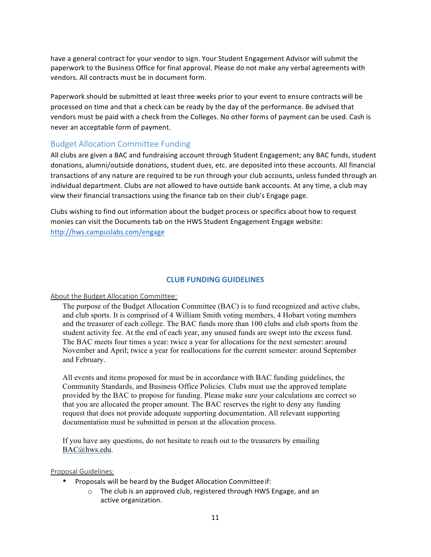have a general contract for your vendor to sign. Your Student Engagement Advisor will submit the paperwork to the Business Office for final approval. Please do not make any verbal agreements with vendors. All contracts must be in document form.

Paperwork should be submitted at least three weeks prior to your event to ensure contracts will be processed on time and that a check can be ready by the day of the performance. Be advised that vendors must be paid with a check from the Colleges. No other forms of payment can be used. Cash is never an acceptable form of payment.

## Budget Allocation Committee Funding

All clubs are given a BAC and fundraising account through Student Engagement; any BAC funds, student donations, alumni/outside donations, student dues, etc. are deposited into these accounts. All financial transactions of any nature are required to be run through your club accounts, unless funded through an individual department. Clubs are not allowed to have outside bank accounts. At any time, a club may view their financial transactions using the finance tab on their club's Engage page.

Clubs wishing to find out information about the budget process or specifics about how to request monies can visit the Documents tab on the HWS Student Engagement Engage website: http://hws.campuslabs.com/engage

#### **CLUB FUNDING GUIDELINES**

#### About the Budget Allocation Committee:

The purpose of the Budget Allocation Committee (BAC) is to fund recognized and active clubs, and club sports. It is comprised of 4 William Smith voting members, 4 Hobart voting members and the treasurer of each college. The BAC funds more than 100 clubs and club sports from the student activity fee. At the end of each year, any unused funds are swept into the excess fund. The BAC meets four times a year: twice a year for allocations for the next semester: around November and April; twice a year for reallocations for the current semester: around September and February.

All events and items proposed for must be in accordance with BAC funding guidelines, the Community Standards, and Business Office Policies. Clubs must use the approved template provided by the BAC to propose for funding. Please make sure your calculations are correct so that you are allocated the proper amount. The BAC reserves the right to deny any funding request that does not provide adequate supporting documentation. All relevant supporting documentation must be submitted in person at the allocation process.

If you have any questions, do not hesitate to reach out to the treasurers by emailing BAC@hws.edu.

Proposal Guidelines:

- Proposals will be heard by the Budget Allocation Committee if:
	- $\circ$  The club is an approved club, registered through HWS Engage, and an active organization.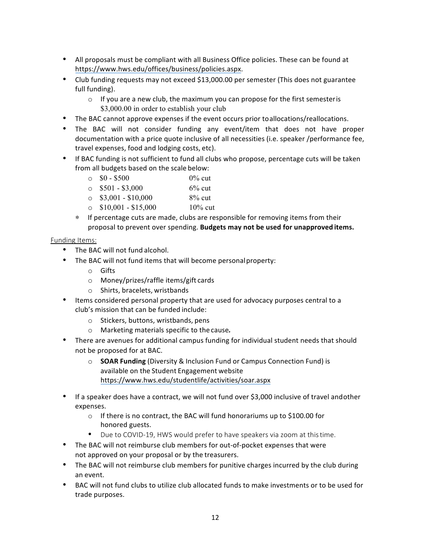- All proposals must be compliant with all Business Office policies. These can be found at https://www.hws.edu/offices/business/policies.aspx.
- Club funding requests may not exceed \$13,000.00 per semester (This does not guarantee full funding).
	- $\circ$  If you are a new club, the maximum you can propose for the first semesteris \$3,000.00 in order to establish your club
- The BAC cannot approve expenses if the event occurs prior toallocations/reallocations.
- The BAC will not consider funding any event/item that does not have proper documentation with a price quote inclusive of all necessities (i.e. speaker /performance fee, travel expenses, food and lodging costs, etc).
- If BAC funding is not sufficient to fund all clubs who propose, percentage cuts will be taken from all budgets based on the scale below:

| $\circ$ \$0 - \$500         | $0\%$ cut  |
|-----------------------------|------------|
| $\circ$ \$501 - \$3,000     | $6\%$ cut  |
| $\circ$ \$3,001 - \$10,000  | $8\%$ cut  |
| $\circ$ \$10,001 - \$15,000 | $10\%$ cut |
|                             |            |

∗ If percentage cuts are made, clubs are responsible for removing items from their proposal to prevent over spending. Budgets may not be used for unapproved items.

## Funding Items:

- The BAC will not fund alcohol.
- The BAC will not fund items that will become personal property:
	- o Gifts
	- $\circ$  Money/prizes/raffle items/gift cards
	- o Shirts, bracelets, wristbands
- Items considered personal property that are used for advocacy purposes central to a club's mission that can be funded include:
	- $\circ$  Stickers, buttons, wristbands, pens
	- o Marketing materials specific to the cause*.*
- There are avenues for additional campus funding for individual student needs that should not be proposed for at BAC.
	- o **SOAR Funding** (Diversity & Inclusion Fund or Campus Connection Fund) is available on the Student Engagement website https://www.hws.edu/studentlife/activities/soar.aspx
- If a speaker does have a contract, we will not fund over \$3,000 inclusive of travel andother expenses.
	- $\circ$  If there is no contract, the BAC will fund honorariums up to \$100.00 for honored guests.
	- Due to COVID-19, HWS would prefer to have speakers via zoom at thistime.
- The BAC will not reimburse club members for out-of-pocket expenses that were not approved on your proposal or by the treasurers.
- The BAC will not reimburse club members for punitive charges incurred by the club during an event.
- BAC will not fund clubs to utilize club allocated funds to make investments or to be used for trade purposes.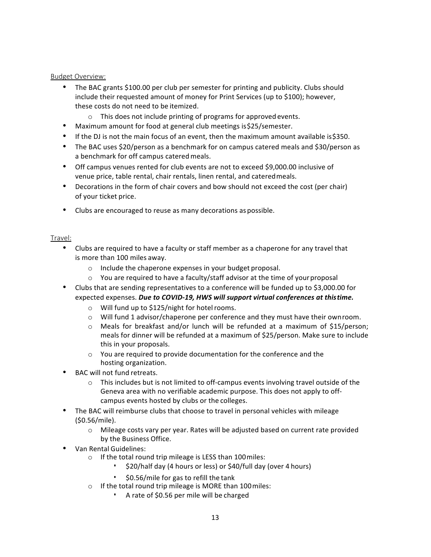#### Budget Overview:

- The BAC grants \$100.00 per club per semester for printing and publicity. Clubs should include their requested amount of money for Print Services (up to \$100); however, these costs do not need to be itemized.
	- $\circ$  This does not include printing of programs for approved events.
- Maximum amount for food at general club meetings is \$25/semester.
- If the DJ is not the main focus of an event, then the maximum amount available is\$350.
- The BAC uses \$20/person as a benchmark for on campus catered meals and \$30/person as a benchmark for off campus catered meals.
- Off campus venues rented for club events are not to exceed \$9,000.00 inclusive of venue price, table rental, chair rentals, linen rental, and catered meals.
- Decorations in the form of chair covers and bow should not exceed the cost (per chair) of your ticket price.
- Clubs are encouraged to reuse as many decorations as possible.

## Travel:

- Clubs are required to have a faculty or staff member as a chaperone for any travel that is more than 100 miles away.
	- $\circ$  Include the chaperone expenses in your budget proposal.
	- $\circ$  You are required to have a faculty/staff advisor at the time of your proposal
- Clubs that are sending representatives to a conference will be funded up to \$3,000.00 for expected expenses. *Due to COVID-19, HWS will support virtual conferences at thistime.* 
	- $\circ$  Will fund up to \$125/night for hotel rooms.
	- $\circ$  Will fund 1 advisor/chaperone per conference and they must have their own room.
	- $\circ$  Meals for breakfast and/or lunch will be refunded at a maximum of \$15/person; meals for dinner will be refunded at a maximum of \$25/person. Make sure to include this in your proposals.
	- $\circ$  You are required to provide documentation for the conference and the hosting organization.
- BAC will not fund retreats.
	- $\circ$  This includes but is not limited to off-campus events involving travel outside of the Geneva area with no verifiable academic purpose. This does not apply to offcampus events hosted by clubs or the colleges.
- The BAC will reimburse clubs that choose to travel in personal vehicles with mileage (\$0.56/mile).
	- $\circ$  Mileage costs vary per year. Rates will be adjusted based on current rate provided by the Business Office.
- Van Rental Guidelines:
	- $\circ$  If the total round trip mileage is LESS than 100 miles:
		- \$20/half day (4 hours or less) or \$40/full day (over 4 hours)
		- $$0.56/m$ ile for gas to refill the tank
	- $\circ$  If the total round trip mileage is MORE than 100 miles:
		- A rate of \$0.56 per mile will be charged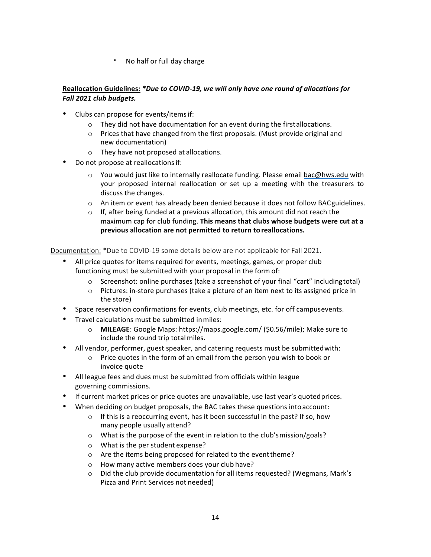▪ No half or full day charge

## Reallocation Guidelines: \*Due to COVID-19, we will only have one round of allocations for *Fall 2021 club budgets.*

- Clubs can propose for events/items if:
	- $\circ$  They did not have documentation for an event during the firstallocations.
	- $\circ$  Prices that have changed from the first proposals. (Must provide original and new documentation)
	- $\circ$  They have not proposed at allocations.
- Do not propose at reallocations if:
	- $\circ$  You would just like to internally reallocate funding. Please email bac@hws.edu with your proposed internal reallocation or set up a meeting with the treasurers to discuss the changes.
	- $\circ$  An item or event has already been denied because it does not follow BAC guidelines.
	- $\circ$  If, after being funded at a previous allocation, this amount did not reach the maximum cap for club funding. This means that clubs whose budgets were cut at a **previous allocation are not permitted to return to reallocations.**

Documentation: \*Due to COVID-19 some details below are not applicable for Fall 2021.

- All price quotes for items required for events, meetings, games, or proper club functioning must be submitted with your proposal in the form of:
	- $\circ$  Screenshot: online purchases (take a screenshot of your final "cart" includingtotal)
	- $\circ$  Pictures: in-store purchases (take a picture of an item next to its assigned price in the store)
- Space reservation confirmations for events, club meetings, etc. for off campusevents.
- Travel calculations must be submitted in miles:
	- o **MILEAGE**: Google Maps: https://maps.google.com/ (\$0.56/mile); Make sure to include the round trip total miles.
- All vendor, performer, guest speaker, and catering requests must be submitted with:
	- $\circ$  Price quotes in the form of an email from the person you wish to book or invoice quote
- All league fees and dues must be submitted from officials within league governing commissions.
- If current market prices or price quotes are unavailable, use last year's quoted prices.
- When deciding on budget proposals, the BAC takes these questions into account:
	- $\circ$  If this is a reoccurring event, has it been successful in the past? If so, how many people usually attend?
	- o What is the purpose of the event in relation to the club's mission/goals?
	- $\circ$  What is the per student expense?
	- $\circ$  Are the items being proposed for related to the event theme?
	- o How many active members does your club have?
	- $\circ$  Did the club provide documentation for all items requested? (Wegmans, Mark's Pizza and Print Services not needed)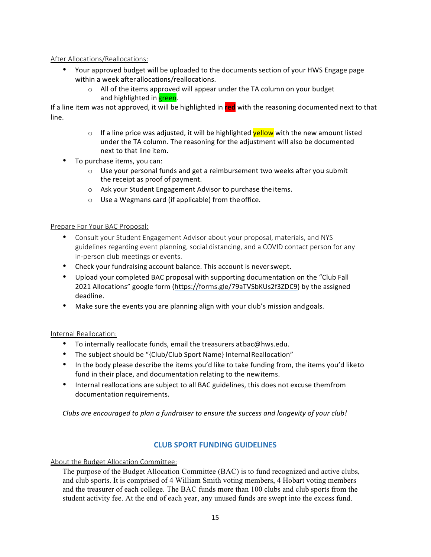## After Allocations/Reallocations:

- Your approved budget will be uploaded to the documents section of your HWS Engage page within a week after allocations/reallocations.
	- $\circ$  All of the items approved will appear under the TA column on your budget and highlighted in **green**.

If a line item was not approved, it will be highlighted in red with the reasoning documented next to that line.

- $\circ$  If a line price was adjusted, it will be highlighted **yellow** with the new amount listed under the TA column. The reasoning for the adjustment will also be documented next to that line item.
- To purchase items, you can:
	- $\circ$  Use your personal funds and get a reimbursement two weeks after you submit the receipt as proof of payment.
	- o Ask your Student Engagement Advisor to purchase the items.
	- $\circ$  Use a Wegmans card (if applicable) from the office.

## Prepare For Your BAC Proposal:

- Consult your Student Engagement Advisor about your proposal, materials, and NYS guidelines regarding event planning, social distancing, and a COVID contact person for any in-person club meetings or events.
- Check your fundraising account balance. This account is never swept.
- Upload your completed BAC proposal with supporting documentation on the "Club Fall" 2021 Allocations" google form (https://forms.gle/79aTVSbKUs2f3ZDC9) by the assigned deadline.
- Make sure the events you are planning align with your club's mission and goals.

## Internal Reallocation:

- To internally reallocate funds, email the treasurers at bac@hws.edu.
- The subject should be "{Club/Club Sport Name} Internal Reallocation"
- In the body please describe the items you'd like to take funding from, the items you'd liketo fund in their place, and documentation relating to the newitems.
- Internal reallocations are subject to all BAC guidelines, this does not excuse themfrom documentation requirements.

Clubs are encouraged to plan a fundraiser to ensure the success and longevity of your club!

## **CLUB SPORT FUNDING GUIDELINES**

About the Budget Allocation Committee:

The purpose of the Budget Allocation Committee (BAC) is to fund recognized and active clubs, and club sports. It is comprised of 4 William Smith voting members, 4 Hobart voting members and the treasurer of each college. The BAC funds more than 100 clubs and club sports from the student activity fee. At the end of each year, any unused funds are swept into the excess fund.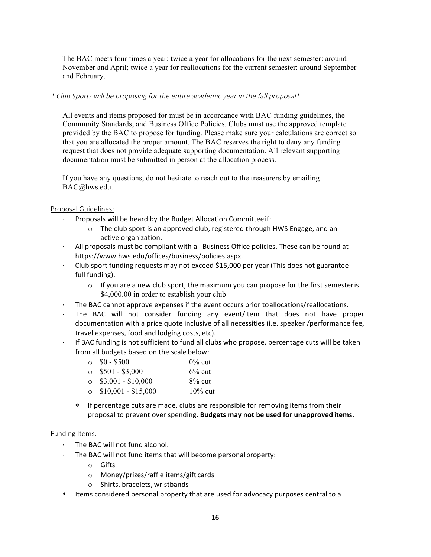The BAC meets four times a year: twice a year for allocations for the next semester: around November and April; twice a year for reallocations for the current semester: around September and February.

#### \* Club Sports will be proposing for the entire academic year in the fall proposal\*

All events and items proposed for must be in accordance with BAC funding guidelines, the Community Standards, and Business Office Policies. Clubs must use the approved template provided by the BAC to propose for funding. Please make sure your calculations are correct so that you are allocated the proper amount. The BAC reserves the right to deny any funding request that does not provide adequate supporting documentation. All relevant supporting documentation must be submitted in person at the allocation process.

If you have any questions, do not hesitate to reach out to the treasurers by emailing BAC@hws.edu.

## Proposal Guidelines:

- Proposals will be heard by the Budget Allocation Committee if:
	- $\circ$  The club sport is an approved club, registered through HWS Engage, and an active organization.
- $\cdot$  All proposals must be compliant with all Business Office policies. These can be found at https://www.hws.edu/offices/business/policies.aspx.
- $\cdot$  Club sport funding requests may not exceed \$15,000 per year (This does not guarantee full funding).
	- $\circ$  If you are a new club sport, the maximum you can propose for the first semesteris \$4,000.00 in order to establish your club
- The BAC cannot approve expenses if the event occurs prior toallocations/reallocations.
- The BAC will not consider funding any event/item that does not have proper documentation with a price quote inclusive of all necessities (i.e. speaker /performance fee, travel expenses, food and lodging costs, etc).
- $\cdot$  If BAC funding is not sufficient to fund all clubs who propose, percentage cuts will be taken from all budgets based on the scale below:

| $\circ$ \$0 - \$500         | $0\%$ cut  |
|-----------------------------|------------|
| $\circ$ \$501 - \$3,000     | $6\%$ cut  |
| $\circ$ \$3,001 - \$10,000  | $8\%$ cut  |
| $\circ$ \$10,001 - \$15,000 | $10\%$ cut |

∗ If percentage cuts are made, clubs are responsible for removing items from their proposal to prevent over spending. Budgets may not be used for unapproved items.

#### Funding Items:

- The BAC will not fund alcohol.
- $\cdot$  The BAC will not fund items that will become personal property:
	- o Gifts
	- $\circ$  Money/prizes/raffle items/gift cards
	- $\circ$  Shirts, bracelets, wristbands
- Items considered personal property that are used for advocacy purposes central to a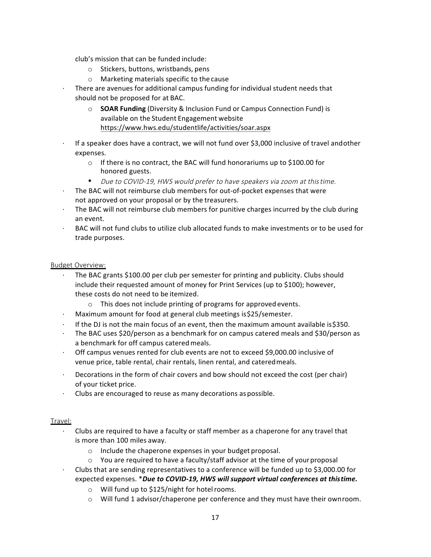club's mission that can be funded include:

- $\circ$  Stickers, buttons, wristbands, pens
- $\circ$  Marketing materials specific to the cause
- There are avenues for additional campus funding for individual student needs that should not be proposed for at BAC.
	- o **SOAR Funding** (Diversity & Inclusion Fund or Campus Connection Fund) is available on the Student Engagement website https://www.hws.edu/studentlife/activities/soar.aspx
- If a speaker does have a contract, we will not fund over \$3,000 inclusive of travel andother expenses.
	- $\circ$  If there is no contract, the BAC will fund honorariums up to \$100.00 for honored guests.
	- Due to COVID-19, HWS would prefer to have speakers via zoom at thistime.
- The BAC will not reimburse club members for out-of-pocket expenses that were not approved on your proposal or by the treasurers.
- The BAC will not reimburse club members for punitive charges incurred by the club during an event.
- BAC will not fund clubs to utilize club allocated funds to make investments or to be used for trade purposes.

## Budget Overview:

- The BAC grants \$100.00 per club per semester for printing and publicity. Clubs should include their requested amount of money for Print Services (up to \$100); however, these costs do not need to be itemized.
	- $\circ$  This does not include printing of programs for approved events.
- Maximum amount for food at general club meetings is \$25/semester.
- $\cdot$  If the DJ is not the main focus of an event, then the maximum amount available is\$350.
- The BAC uses \$20/person as a benchmark for on campus catered meals and \$30/person as a benchmark for off campus catered meals.
- Off campus venues rented for club events are not to exceed \$9,000.00 inclusive of venue price, table rental, chair rentals, linen rental, and catered meals.
- Decorations in the form of chair covers and bow should not exceed the cost (per chair) of your ticket price.
- Clubs are encouraged to reuse as many decorations as possible.

## Travel:

- Clubs are required to have a faculty or staff member as a chaperone for any travel that is more than 100 miles away.
	- $\circ$  Include the chaperone expenses in your budget proposal.
	- $\circ$  You are required to have a faculty/staff advisor at the time of your proposal
- Clubs that are sending representatives to a conference will be funded up to \$3,000.00 for expected expenses. *\*Due to COVID-19, HWS will support virtual conferences at thistime.* 
	- $\circ$  Will fund up to \$125/night for hotel rooms.
	- $\circ$  Will fund 1 advisor/chaperone per conference and they must have their own room.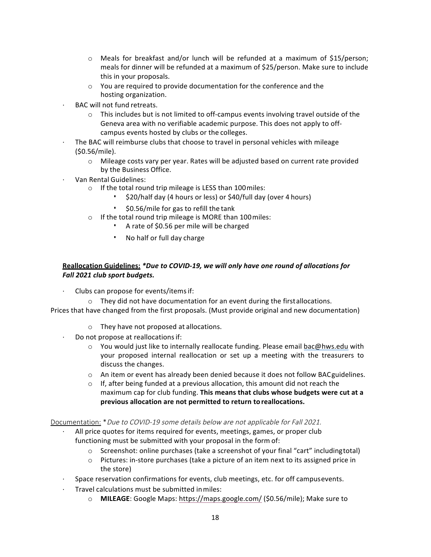- $\circ$  Meals for breakfast and/or lunch will be refunded at a maximum of \$15/person; meals for dinner will be refunded at a maximum of \$25/person. Make sure to include this in your proposals.
- $\circ$  You are required to provide documentation for the conference and the hosting organization.
- BAC will not fund retreats.
	- $\circ$  This includes but is not limited to off-campus events involving travel outside of the Geneva area with no verifiable academic purpose. This does not apply to offcampus events hosted by clubs or the colleges.
- The BAC will reimburse clubs that choose to travel in personal vehicles with mileage (\$0.56/mile).
	- $\circ$  Mileage costs vary per year. Rates will be adjusted based on current rate provided by the Business Office.
- Van Rental Guidelines:
	- $\circ$  If the total round trip mileage is LESS than 100 miles:
		- \$20/half day (4 hours or less) or \$40/full day (over 4 hours)
		- \$0.56/mile for gas to refill the tank
	- $\circ$  If the total round trip mileage is MORE than 100 miles:
		- A rate of \$0.56 per mile will be charged
		- No half or full day charge

## Reallocation Guidelines: *\*Due to COVID-19, we will only have one round of allocations for Fall 2021 club sport budgets.*

- Clubs can propose for events/items if:
	- $\circ$  They did not have documentation for an event during the firstallocations.

Prices that have changed from the first proposals. (Must provide original and new documentation)

- $\circ$  They have not proposed at allocations.
- Do not propose at reallocations if:
	- $\circ$  You would just like to internally reallocate funding. Please email bac@hws.edu with your proposed internal reallocation or set up a meeting with the treasurers to discuss the changes.
	- $\circ$  An item or event has already been denied because it does not follow BAC guidelines.
	- $\circ$  If, after being funded at a previous allocation, this amount did not reach the maximum cap for club funding. This means that clubs whose budgets were cut at a previous allocation are not permitted to return to reallocations.

## Documentation: \*Due to COVID-19 some details below are not applicable for Fall 2021.

- All price quotes for items required for events, meetings, games, or proper club functioning must be submitted with your proposal in the form of:
	- $\circ$  Screenshot: online purchases (take a screenshot of your final "cart" includingtotal)
	- $\circ$  Pictures: in-store purchases (take a picture of an item next to its assigned price in the store)
- Space reservation confirmations for events, club meetings, etc. for off campusevents.
- Travel calculations must be submitted in miles:
	- o **MILEAGE**: Google Maps: https://maps.google.com/ (\$0.56/mile); Make sure to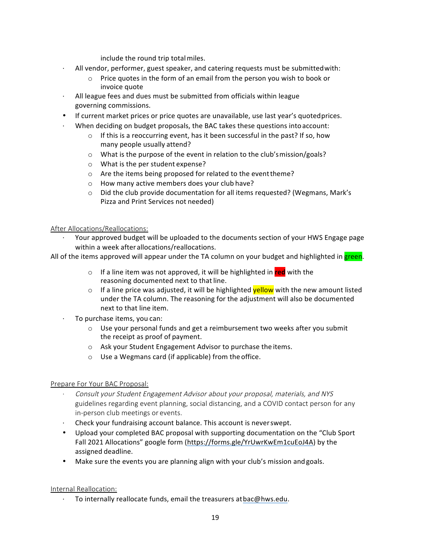include the round trip total miles.

- All vendor, performer, guest speaker, and catering requests must be submitted with:
	- $\circ$  Price quotes in the form of an email from the person you wish to book or invoice quote
- All league fees and dues must be submitted from officials within league governing commissions.
- If current market prices or price quotes are unavailable, use last year's quoted prices.
- When deciding on budget proposals, the BAC takes these questions into account:
	- $\circ$  If this is a reoccurring event, has it been successful in the past? If so, how many people usually attend?
	- $\circ$  What is the purpose of the event in relation to the club's mission/goals?
	- $\circ$  What is the per student expense?
	- $\circ$  Are the items being proposed for related to the event theme?
	- o How many active members does your club have?
	- $\circ$  Did the club provide documentation for all items requested? (Wegmans, Mark's Pizza and Print Services not needed)

#### After Allocations/Reallocations:

Your approved budget will be uploaded to the documents section of your HWS Engage page within a week after allocations/reallocations.

All of the items approved will appear under the TA column on your budget and highlighted in green.

- o If a line item was not approved, it will be highlighted in **red** with the reasoning documented next to that line.
- o If a line price was adjusted, it will be highlighted **yellow** with the new amount listed under the TA column. The reasoning for the adjustment will also be documented next to that line item.
- To purchase items, you can:
	- $\circ$  Use your personal funds and get a reimbursement two weeks after you submit the receipt as proof of payment.
	- $\circ$  Ask your Student Engagement Advisor to purchase the items.
	- $\circ$  Use a Wegmans card (if applicable) from the office.

## Prepare For Your BAC Proposal:

- · Consult your Student Engagement Advisor about your proposal, materials, and NYS guidelines regarding event planning, social distancing, and a COVID contact person for any in-person club meetings or events.
- Check your fundraising account balance. This account is never swept.
- Upload your completed BAC proposal with supporting documentation on the "Club Sport Fall 2021 Allocations" google form (https://forms.gle/YrUwrKwEm1cuEoJ4A) by the assigned deadline.
- Make sure the events you are planning align with your club's mission and goals.

## Internal Reallocation:

 $\cdot$  To internally reallocate funds, email the treasurers at bac@hws.edu.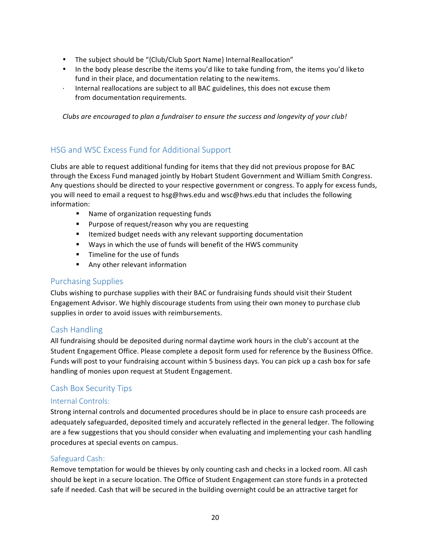- The subject should be "{Club/Club Sport Name} Internal Reallocation"
- In the body please describe the items you'd like to take funding from, the items you'd liketo fund in their place, and documentation relating to the newitems.
- Internal reallocations are subject to all BAC guidelines, this does not excuse them from documentation requirements.

Clubs are encouraged to plan a fundraiser to ensure the success and longevity of your club!

## HSG and WSC Excess Fund for Additional Support

Clubs are able to request additional funding for items that they did not previous propose for BAC through the Excess Fund managed jointly by Hobart Student Government and William Smith Congress. Any questions should be directed to your respective government or congress. To apply for excess funds, you will need to email a request to hsg@hws.edu and wsc@hws.edu that includes the following information:

- Name of organization requesting funds
- Purpose of request/reason why you are requesting
- Itemized budget needs with any relevant supporting documentation
- Ways in which the use of funds will benefit of the HWS community
- Timeline for the use of funds
- Any other relevant information

## Purchasing Supplies

Clubs wishing to purchase supplies with their BAC or fundraising funds should visit their Student Engagement Advisor. We highly discourage students from using their own money to purchase club supplies in order to avoid issues with reimbursements.

## Cash Handling

All fundraising should be deposited during normal daytime work hours in the club's account at the Student Engagement Office. Please complete a deposit form used for reference by the Business Office. Funds will post to your fundraising account within 5 business days. You can pick up a cash box for safe handling of monies upon request at Student Engagement.

## Cash Box Security Tips

## Internal Controls:

Strong internal controls and documented procedures should be in place to ensure cash proceeds are adequately safeguarded, deposited timely and accurately reflected in the general ledger. The following are a few suggestions that you should consider when evaluating and implementing your cash handling procedures at special events on campus.

## Safeguard Cash:

Remove temptation for would be thieves by only counting cash and checks in a locked room. All cash should be kept in a secure location. The Office of Student Engagement can store funds in a protected safe if needed. Cash that will be secured in the building overnight could be an attractive target for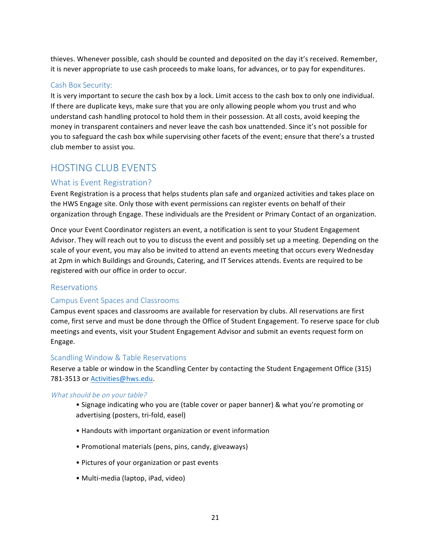thieves. Whenever possible, cash should be counted and deposited on the day it's received. Remember, it is never appropriate to use cash proceeds to make loans, for advances, or to pay for expenditures.

## Cash Box Security:

It is very important to secure the cash box by a lock. Limit access to the cash box to only one individual. If there are duplicate keys, make sure that you are only allowing people whom you trust and who understand cash handling protocol to hold them in their possession. At all costs, avoid keeping the money in transparent containers and never leave the cash box unattended. Since it's not possible for you to safeguard the cash box while supervising other facets of the event; ensure that there's a trusted club member to assist you.

# HOSTING CLUB EVENTS

## What is Event Registration?

Event Registration is a process that helps students plan safe and organized activities and takes place on the HWS Engage site. Only those with event permissions can register events on behalf of their organization through Engage. These individuals are the President or Primary Contact of an organization.

Once your Event Coordinator registers an event, a notification is sent to your Student Engagement Advisor. They will reach out to you to discuss the event and possibly set up a meeting. Depending on the scale of your event, you may also be invited to attend an events meeting that occurs every Wednesday at 2pm in which Buildings and Grounds, Catering, and IT Services attends. Events are required to be registered with our office in order to occur.

## Reservations

## Campus Event Spaces and Classrooms

Campus event spaces and classrooms are available for reservation by clubs. All reservations are first come, first serve and must be done through the Office of Student Engagement. To reserve space for club meetings and events, visit your Student Engagement Advisor and submit an events request form on Engage. 

## Scandling Window & Table Reservations

Reserve a table or window in the Scandling Center by contacting the Student Engagement Office (315) 781-3513 or Activities@hws.edu.

## What should be on your table?

- Signage indicating who you are (table cover or paper banner) & what you're promoting or advertising (posters, tri-fold, easel)
- Handouts with important organization or event information
- Promotional materials (pens, pins, candy, giveaways)
- Pictures of your organization or past events
- Multi-media (laptop, iPad, video)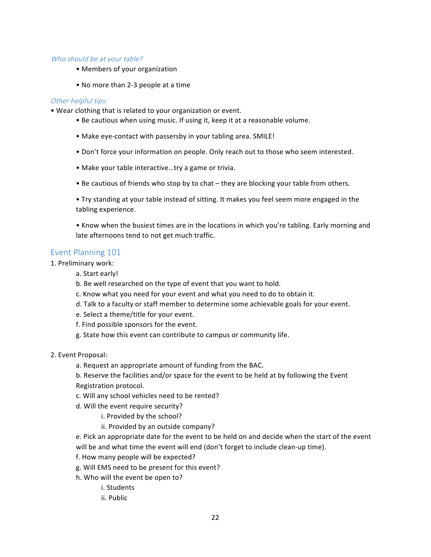#### Who should be at your table?

- Members of your organization
- No more than 2-3 people at a time

#### Other helpful tips:

- Wear clothing that is related to your organization or event.
	- Be cautious when using music. If using it, keep it at a reasonable volume.
	- Make eye-contact with passersby in your tabling area. SMILE!
	- Don't force your information on people. Only reach out to those who seem interested.
	- Make your table interactive...try a game or trivia.
	- Be cautious of friends who stop by to chat they are blocking your table from others.
	- Try standing at your table instead of sitting. It makes you feel seem more engaged in the tabling experience.

• Know when the busiest times are in the locations in which you're tabling. Early morning and late afternoons tend to not get much traffic.

## Event Planning 101

- 1. Preliminary work:
	- a. Start early!
	- b. Be well researched on the type of event that you want to hold.
	- c. Know what you need for your event and what you need to do to obtain it.
	- d. Talk to a faculty or staff member to determine some achievable goals for your event.
	- e. Select a theme/title for your event.
	- f. Find possible sponsors for the event.
	- g. State how this event can contribute to campus or community life.
- 2. Event Proposal:
	- a. Request an appropriate amount of funding from the BAC.
	- b. Reserve the facilities and/or space for the event to be held at by following the Event Registration protocol.
	- c. Will any school vehicles need to be rented?
	- d. Will the event require security?
		- i. Provided by the school?
		- ii. Provided by an outside company?
	- e. Pick an appropriate date for the event to be held on and decide when the start of the event will be and what time the event will end (don't forget to include clean-up time).
	- f. How many people will be expected?
	- g. Will EMS need to be present for this event?
	- h. Who will the event be open to?
		- i. Students
		- ii. Public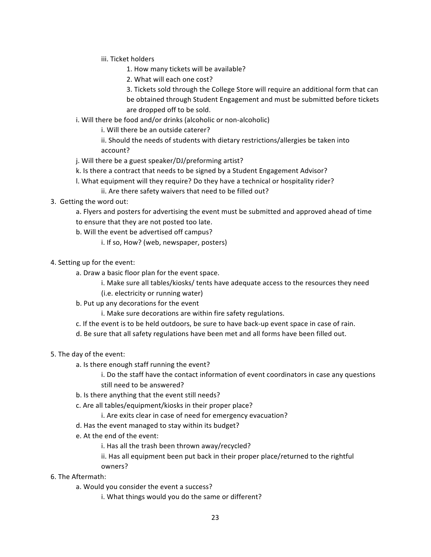- iii. Ticket holders
	- 1. How many tickets will be available?
	- 2. What will each one cost?

3. Tickets sold through the College Store will require an additional form that can be obtained through Student Engagement and must be submitted before tickets are dropped off to be sold.

i. Will there be food and/or drinks (alcoholic or non-alcoholic)

i. Will there be an outside caterer?

ii. Should the needs of students with dietary restrictions/allergies be taken into account?

- j. Will there be a guest speaker/DJ/preforming artist?
- k. Is there a contract that needs to be signed by a Student Engagement Advisor?
- l. What equipment will they require? Do they have a technical or hospitality rider?
	- ii. Are there safety waivers that need to be filled out?
- 3. Getting the word out:

a. Flyers and posters for advertising the event must be submitted and approved ahead of time to ensure that they are not posted too late.

- b. Will the event be advertised off campus?
	- i. If so, How? (web, newspaper, posters)
- 4. Setting up for the event:
	- a. Draw a basic floor plan for the event space.
		- i. Make sure all tables/kiosks/ tents have adequate access to the resources they need
		- (i.e. electricity or running water)
	- b. Put up any decorations for the event
		- i. Make sure decorations are within fire safety regulations.
	- c. If the event is to be held outdoors, be sure to have back-up event space in case of rain.
	- d. Be sure that all safety regulations have been met and all forms have been filled out.
- 5. The day of the event:
	- a. Is there enough staff running the event?

i. Do the staff have the contact information of event coordinators in case any questions still need to be answered?

- b. Is there anything that the event still needs?
- c. Are all tables/equipment/kiosks in their proper place?
	- i. Are exits clear in case of need for emergency evacuation?
- d. Has the event managed to stay within its budget?
- e. At the end of the event:
	- i. Has all the trash been thrown away/recycled?
	- ii. Has all equipment been put back in their proper place/returned to the rightful owners?
- 6. The Aftermath:
	- a. Would you consider the event a success?
		- i. What things would you do the same or different?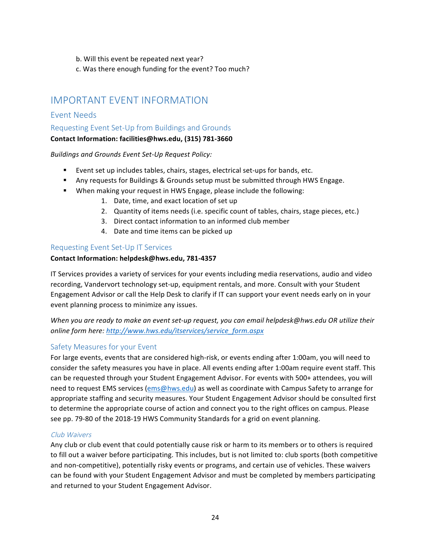- b. Will this event be repeated next year?
- c. Was there enough funding for the event? Too much?

## IMPORTANT EVENT INFORMATION

## Event Needs

## Requesting Event Set-Up from Buildings and Grounds

## **Contact Information: facilities@hws.edu, (315) 781-3660**

**Buildings and Grounds Event Set-Up Request Policy:** 

- Event set up includes tables, chairs, stages, electrical set-ups for bands, etc.
- **Any requests for Buildings & Grounds setup must be submitted through HWS Engage.**
- When making your request in HWS Engage, please include the following:
	- 1. Date, time, and exact location of set up
	- 2. Quantity of items needs (i.e. specific count of tables, chairs, stage pieces, etc.)
	- 3. Direct contact information to an informed club member
	- 4. Date and time items can be picked up

## Requesting Event Set-Up IT Services

## **Contact Information: helpdesk@hws.edu, 781-4357**

IT Services provides a variety of services for your events including media reservations, audio and video recording, Vandervort technology set-up, equipment rentals, and more. Consult with your Student Engagement Advisor or call the Help Desk to clarify if IT can support your event needs early on in your event planning process to minimize any issues.

*When* you are ready to make an event set-up request, you can email helpdesk@hws.edu OR utilize their online form here: http://www.hws.edu/itservices/service\_form.aspx

## Safety Measures for your Event

For large events, events that are considered high-risk, or events ending after 1:00am, you will need to consider the safety measures you have in place. All events ending after 1:00am require event staff. This can be requested through your Student Engagement Advisor. For events with 500+ attendees, you will need to request EMS services (ems@hws.edu) as well as coordinate with Campus Safety to arrange for appropriate staffing and security measures. Your Student Engagement Advisor should be consulted first to determine the appropriate course of action and connect you to the right offices on campus. Please see pp. 79-80 of the 2018-19 HWS Community Standards for a grid on event planning.

## Club Waivers

Any club or club event that could potentially cause risk or harm to its members or to others is required to fill out a waiver before participating. This includes, but is not limited to: club sports (both competitive and non-competitive), potentially risky events or programs, and certain use of vehicles. These waivers can be found with your Student Engagement Advisor and must be completed by members participating and returned to your Student Engagement Advisor.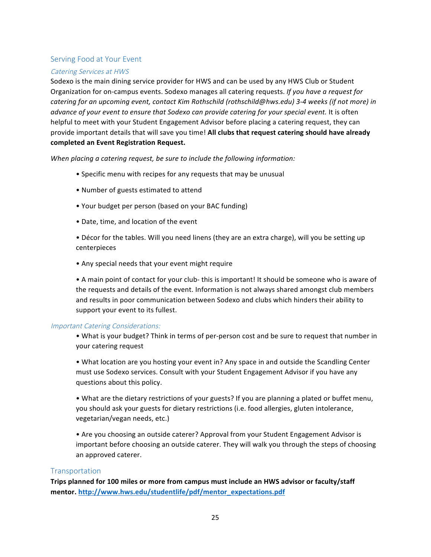## Serving Food at Your Event

## Catering Services at HWS

Sodexo is the main dining service provider for HWS and can be used by any HWS Club or Student Organization for on-campus events. Sodexo manages all catering requests. If you have a request for *catering for an upcoming event, contact Kim Rothschild (rothschild@hws.edu)* 3-4 weeks (if not more) in *advance of your event to ensure that Sodexo can provide catering for your special event.* It is often helpful to meet with your Student Engagement Advisor before placing a catering request, they can provide important details that will save you time! All clubs that request catering should have already **completed an Event Registration Request.**

*When placing a catering request, be sure to include the following information:* 

- Specific menu with recipes for any requests that may be unusual
- Number of guests estimated to attend
- Your budget per person (based on your BAC funding)
- Date, time, and location of the event

• Décor for the tables. Will you need linens (they are an extra charge), will you be setting up centerpieces

• Any special needs that your event might require

• A main point of contact for your club- this is important! It should be someone who is aware of the requests and details of the event. Information is not always shared amongst club members and results in poor communication between Sodexo and clubs which hinders their ability to support your event to its fullest.

#### Important Catering Considerations:

• What is your budget? Think in terms of per-person cost and be sure to request that number in your catering request

• What location are you hosting your event in? Any space in and outside the Scandling Center must use Sodexo services. Consult with your Student Engagement Advisor if you have any questions about this policy.

• What are the dietary restrictions of your guests? If you are planning a plated or buffet menu, you should ask your guests for dietary restrictions (i.e. food allergies, gluten intolerance, vegetarian/vegan needs, etc.)

• Are you choosing an outside caterer? Approval from your Student Engagement Advisor is important before choosing an outside caterer. They will walk you through the steps of choosing an approved caterer.

#### **Transportation**

Trips planned for 100 miles or more from campus must include an HWS advisor or faculty/staff **mentor. http://www.hws.edu/studentlife/pdf/mentor\_expectations.pdf**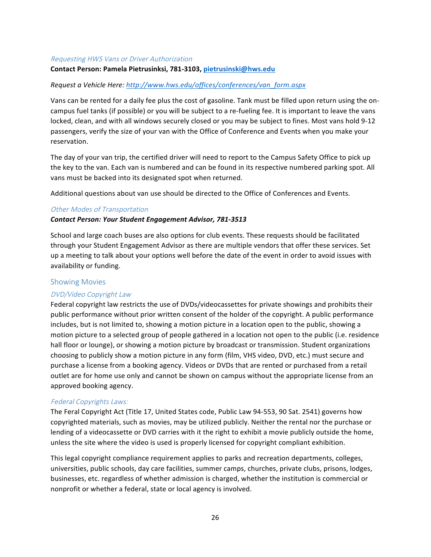#### Requesting HWS Vans or Driver Authorization

#### **Contact Person: Pamela Pietrusinksi, 781-3103, pietrusinski@hws.edu**

#### *Request a Vehicle Here: http://www.hws.edu/offices/conferences/van\_form.aspx*

Vans can be rented for a daily fee plus the cost of gasoline. Tank must be filled upon return using the oncampus fuel tanks (if possible) or you will be subject to a re-fueling fee. It is important to leave the vans locked, clean, and with all windows securely closed or you may be subject to fines. Most vans hold 9-12 passengers, verify the size of your van with the Office of Conference and Events when you make your reservation.

The day of your van trip, the certified driver will need to report to the Campus Safety Office to pick up the key to the van. Each van is numbered and can be found in its respective numbered parking spot. All vans must be backed into its designated spot when returned.

Additional questions about van use should be directed to the Office of Conferences and Events.

#### Other Modes of Transportation

#### *Contact Person: Your Student Engagement Advisor, 781-3513*

School and large coach buses are also options for club events. These requests should be facilitated through your Student Engagement Advisor as there are multiple vendors that offer these services. Set up a meeting to talk about your options well before the date of the event in order to avoid issues with availability or funding.

#### Showing Movies

#### DVD/Video Copyright Law

Federal copyright law restricts the use of DVDs/videocassettes for private showings and prohibits their public performance without prior written consent of the holder of the copyright. A public performance includes, but is not limited to, showing a motion picture in a location open to the public, showing a motion picture to a selected group of people gathered in a location not open to the public (i.e. residence hall floor or lounge), or showing a motion picture by broadcast or transmission. Student organizations choosing to publicly show a motion picture in any form (film, VHS video, DVD, etc.) must secure and purchase a license from a booking agency. Videos or DVDs that are rented or purchased from a retail outlet are for home use only and cannot be shown on campus without the appropriate license from an approved booking agency.

#### Federal Copyrights Laws:

The Feral Copyright Act (Title 17, United States code, Public Law 94-553, 90 Sat. 2541) governs how copyrighted materials, such as movies, may be utilized publicly. Neither the rental nor the purchase or lending of a videocassette or DVD carries with it the right to exhibit a movie publicly outside the home, unless the site where the video is used is properly licensed for copyright compliant exhibition.

This legal copyright compliance requirement applies to parks and recreation departments, colleges, universities, public schools, day care facilities, summer camps, churches, private clubs, prisons, lodges, businesses, etc. regardless of whether admission is charged, whether the institution is commercial or nonprofit or whether a federal, state or local agency is involved.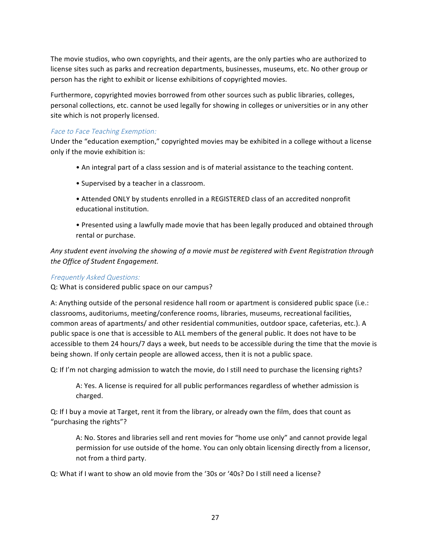The movie studios, who own copyrights, and their agents, are the only parties who are authorized to license sites such as parks and recreation departments, businesses, museums, etc. No other group or person has the right to exhibit or license exhibitions of copyrighted movies.

Furthermore, copyrighted movies borrowed from other sources such as public libraries, colleges, personal collections, etc. cannot be used legally for showing in colleges or universities or in any other site which is not properly licensed.

## Face to Face Teaching Exemption:

Under the "education exemption," copyrighted movies may be exhibited in a college without a license only if the movie exhibition is:

- An integral part of a class session and is of material assistance to the teaching content.
- Supervised by a teacher in a classroom.
- Attended ONLY by students enrolled in a REGISTERED class of an accredited nonprofit educational institution.
- Presented using a lawfully made movie that has been legally produced and obtained through rental or purchase.

Any student event involving the showing of a movie must be registered with Event Registration through *the Office of Student Engagement.* 

## Frequently Asked Questions:

Q: What is considered public space on our campus?

A: Anything outside of the personal residence hall room or apartment is considered public space (i.e.: classrooms, auditoriums, meeting/conference rooms, libraries, museums, recreational facilities, common areas of apartments/ and other residential communities, outdoor space, cafeterias, etc.). A public space is one that is accessible to ALL members of the general public. It does not have to be accessible to them 24 hours/7 days a week, but needs to be accessible during the time that the movie is being shown. If only certain people are allowed access, then it is not a public space.

Q: If I'm not charging admission to watch the movie, do I still need to purchase the licensing rights?

A: Yes. A license is required for all public performances regardless of whether admission is charged.

Q: If I buy a movie at Target, rent it from the library, or already own the film, does that count as "purchasing the rights"?

A: No. Stores and libraries sell and rent movies for "home use only" and cannot provide legal permission for use outside of the home. You can only obtain licensing directly from a licensor, not from a third party.

Q: What if I want to show an old movie from the '30s or '40s? Do I still need a license?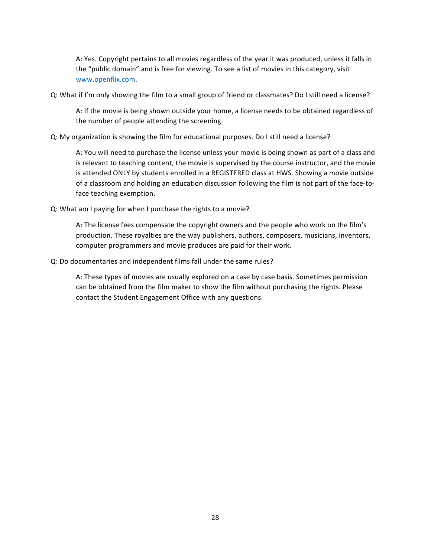A: Yes. Copyright pertains to all movies regardless of the year it was produced, unless it falls in the "public domain" and is free for viewing. To see a list of movies in this category, visit www.openflix.com.

Q: What if I'm only showing the film to a small group of friend or classmates? Do I still need a license?

A: If the movie is being shown outside your home, a license needs to be obtained regardless of the number of people attending the screening.

#### Q: My organization is showing the film for educational purposes. Do I still need a license?

A: You will need to purchase the license unless your movie is being shown as part of a class and is relevant to teaching content, the movie is supervised by the course instructor, and the movie is attended ONLY by students enrolled in a REGISTERED class at HWS. Showing a movie outside of a classroom and holding an education discussion following the film is not part of the face-toface teaching exemption.

#### Q: What am I paying for when I purchase the rights to a movie?

A: The license fees compensate the copyright owners and the people who work on the film's production. These royalties are the way publishers, authors, composers, musicians, inventors, computer programmers and movie produces are paid for their work.

#### Q: Do documentaries and independent films fall under the same rules?

A: These types of movies are usually explored on a case by case basis. Sometimes permission can be obtained from the film maker to show the film without purchasing the rights. Please contact the Student Engagement Office with any questions.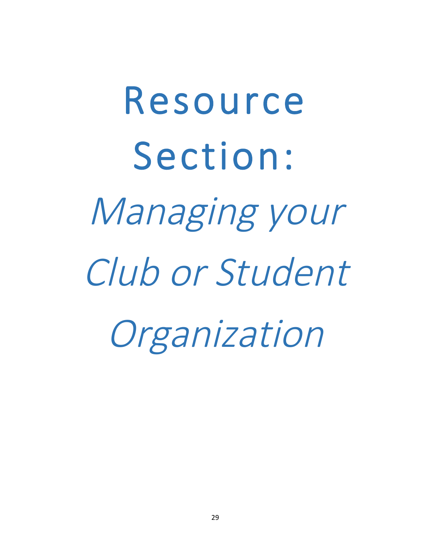# Resource Section: Managing your Club or Student Organization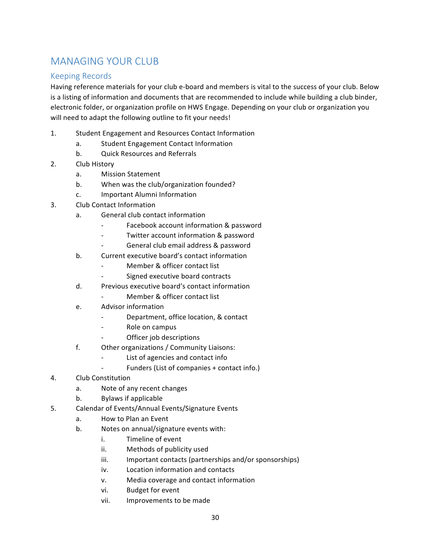# MANAGING YOUR CLUB

## Keeping Records

Having reference materials for your club e-board and members is vital to the success of your club. Below is a listing of information and documents that are recommended to include while building a club binder, electronic folder, or organization profile on HWS Engage. Depending on your club or organization you will need to adapt the following outline to fit your needs!

- 1. Student Engagement and Resources Contact Information
	- a. Student Engagement Contact Information
	- b. Quick Resources and Referrals
- 2. Club History
	- a. Mission Statement
	- b. When was the club/organization founded?
	- c. Important Alumni Information
- 3. Club Contact Information
	- a. General club contact information
		- Facebook account information & password
		- Twitter account information & password
			- General club email address & password
	- b. Current executive board's contact information
		- Member & officer contact list
		- Signed executive board contracts
	- d. Previous executive board's contact information
		- Member & officer contact list
	- e. Advisor information
		- Department, office location, & contact
		- Role on campus
		- Officer job descriptions
	- f. Other organizations / Community Liaisons:
		- List of agencies and contact info
		- Funders (List of companies + contact info.)
- 4. Club Constitution
	- a. Note of any recent changes
	- b. Bylaws if applicable
- 5. Calendar of Events/Annual Events/Signature Events
	- a. How to Plan an Event
	- b. Notes on annual/signature events with:
		- i. Timeline of event
		- ii. Methods of publicity used
		- iii. Important contacts (partnerships and/or sponsorships)
		- iv. Location information and contacts
		- v. Media coverage and contact information
		- vi. Budget for event
		- vii. Improvements to be made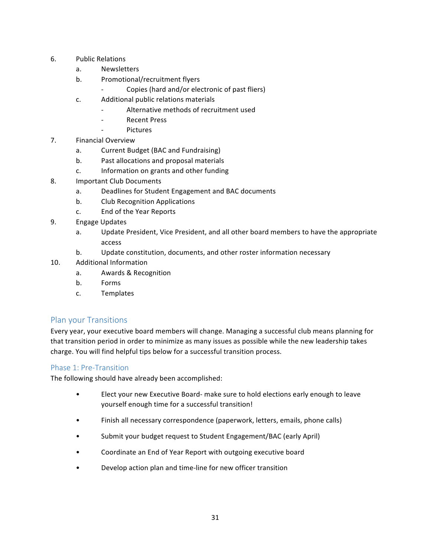- 6. Public Relations
	- a. Newsletters
	- b. Promotional/recruitment flyers
		- Copies (hard and/or electronic of past fliers)
	- c. Additional public relations materials
		- Alternative methods of recruitment used
		- Recent Press
		- **Pictures**
- 7. Financial Overview
	- a. Current Budget (BAC and Fundraising)
	- b. Past allocations and proposal materials
	- c. Information on grants and other funding
- 8. Important Club Documents
	- a. Deadlines for Student Engagement and BAC documents
	- b. Club Recognition Applications
	- c. End of the Year Reports
- 9. Engage Updates
	- a. Update President, Vice President, and all other board members to have the appropriate access
	- b. Update constitution, documents, and other roster information necessary
- 10. Additional Information
	- a. Awards & Recognition
	- b. Forms
	- c. Templates

## Plan your Transitions

Every year, your executive board members will change. Managing a successful club means planning for that transition period in order to minimize as many issues as possible while the new leadership takes charge. You will find helpful tips below for a successful transition process.

## Phase 1: Pre-Transition

The following should have already been accomplished:

- Elect your new Executive Board- make sure to hold elections early enough to leave yourself enough time for a successful transition!
- Finish all necessary correspondence (paperwork, letters, emails, phone calls)
- Submit your budget request to Student Engagement/BAC (early April)
- Coordinate an End of Year Report with outgoing executive board
- Develop action plan and time-line for new officer transition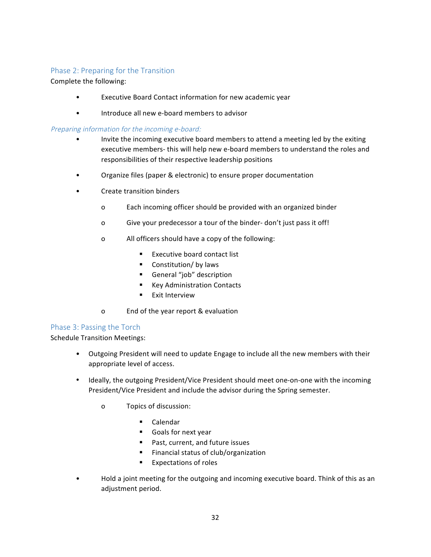## Phase 2: Preparing for the Transition

## Complete the following:

- Executive Board Contact information for new academic year
- Introduce all new e-board members to advisor

## Preparing information for the incoming e-board:

- Invite the incoming executive board members to attend a meeting led by the exiting executive members- this will help new e-board members to understand the roles and responsibilities of their respective leadership positions
- Organize files (paper & electronic) to ensure proper documentation
- Create transition binders
	- o Each incoming officer should be provided with an organized binder
	- o Give your predecessor a tour of the binder- don't just pass it off!
	- o All officers should have a copy of the following:
		- Executive board contact list
		- Constitution/ by laws
		- **•** General "job" description
		- Key Administration Contacts
		- **■** Exit Interview
	- o End of the year report & evaluation

## Phase 3: Passing the Torch

Schedule Transition Meetings:

- Outgoing President will need to update Engage to include all the new members with their appropriate level of access.
- Ideally, the outgoing President/Vice President should meet one-on-one with the incoming President/Vice President and include the advisor during the Spring semester.
	- o Topics of discussion:
		- Calendar
		- Goals for next year
		- Past, current, and future issues
		- Financial status of club/organization
		- Expectations of roles
- Hold a joint meeting for the outgoing and incoming executive board. Think of this as an adjustment period.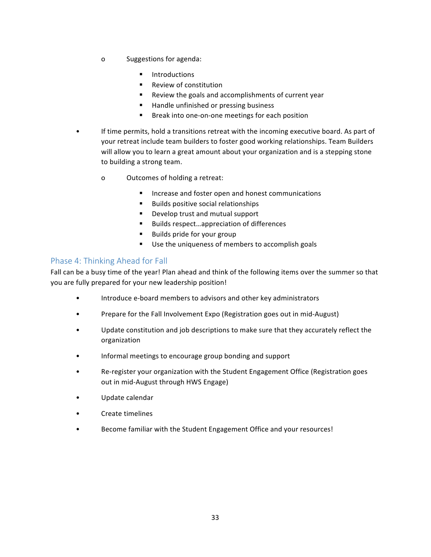- o Suggestions for agenda:
	- **Introductions**
	- Review of constitution
	- Review the goals and accomplishments of current year
	- Handle unfinished or pressing business
	- Break into one-on-one meetings for each position
- If time permits, hold a transitions retreat with the incoming executive board. As part of your retreat include team builders to foster good working relationships. Team Builders will allow you to learn a great amount about your organization and is a stepping stone to building a strong team.
	- o Outcomes of holding a retreat:
		- Increase and foster open and honest communications
		- Builds positive social relationships
		- Develop trust and mutual support
		- Builds respect...appreciation of differences
		- Builds pride for your group
		- Use the uniqueness of members to accomplish goals

## Phase 4: Thinking Ahead for Fall

Fall can be a busy time of the year! Plan ahead and think of the following items over the summer so that you are fully prepared for your new leadership position!

- Introduce e-board members to advisors and other key administrators
- Prepare for the Fall Involvement Expo (Registration goes out in mid-August)
- Update constitution and job descriptions to make sure that they accurately reflect the organization
- Informal meetings to encourage group bonding and support
- Re-register your organization with the Student Engagement Office (Registration goes out in mid-August through HWS Engage)
- Update calendar
- Create timelines
- Become familiar with the Student Engagement Office and your resources!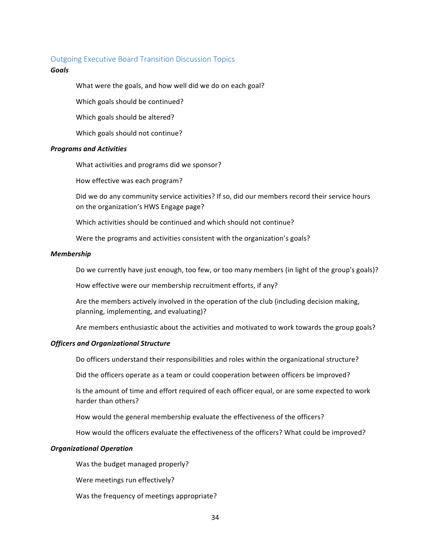#### Outgoing Executive Board Transition Discussion Topics

#### *Goals*

What were the goals, and how well did we do on each goal?

Which goals should be continued?

Which goals should be altered?

Which goals should not continue?

#### *Programs and Activities*

What activities and programs did we sponsor?

How effective was each program?

Did we do any community service activities? If so, did our members record their service hours on the organization's HWS Engage page?

Which activities should be continued and which should not continue?

Were the programs and activities consistent with the organization's goals?

#### *Membership*

Do we currently have just enough, too few, or too many members (in light of the group's goals)?

How effective were our membership recruitment efforts, if any?

Are the members actively involved in the operation of the club (including decision making, planning, implementing, and evaluating)?

Are members enthusiastic about the activities and motivated to work towards the group goals?

#### *Officers and Organizational Structure*

Do officers understand their responsibilities and roles within the organizational structure?

Did the officers operate as a team or could cooperation between officers be improved?

Is the amount of time and effort required of each officer equal, or are some expected to work harder than others?

How would the general membership evaluate the effectiveness of the officers?

How would the officers evaluate the effectiveness of the officers? What could be improved?

#### *Organizational Operation*

Was the budget managed properly?

Were meetings run effectively?

Was the frequency of meetings appropriate?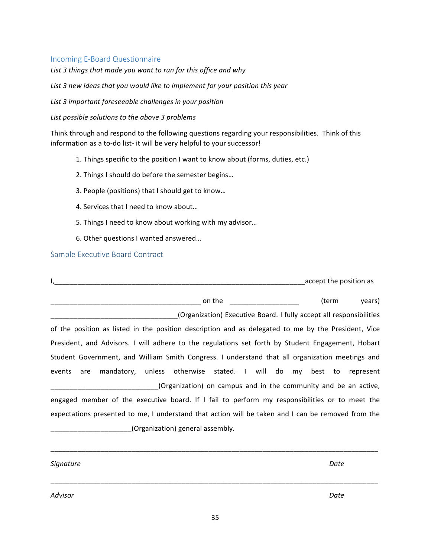## Incoming E-Board Questionnaire

List 3 things that made you want to run for this office and why

List 3 new ideas that you would like to implement for your position this year

List 3 important foreseeable challenges in your position

List possible solutions to the above 3 problems

Think through and respond to the following questions regarding your responsibilities. Think of this information as a to-do list- it will be very helpful to your successor!

- 1. Things specific to the position I want to know about (forms, duties, etc.)
- 2. Things I should do before the semester begins...
- 3. People (positions) that I should get to know...
- 4. Services that I need to know about...
- 5. Things I need to know about working with my advisor...
- 6. Other questions I wanted answered...

Sample Executive Board Contract

|                                                                                                     | accept the position as |  |  |  |
|-----------------------------------------------------------------------------------------------------|------------------------|--|--|--|
| on the                                                                                              | years)<br>(term        |  |  |  |
| (Organization) Executive Board. I fully accept all responsibilities                                 |                        |  |  |  |
| of the position as listed in the position description and as delegated to me by the President, Vice |                        |  |  |  |
| President, and Advisors. I will adhere to the regulations set forth by Student Engagement, Hobart   |                        |  |  |  |
| Student Government, and William Smith Congress. I understand that all organization meetings and     |                        |  |  |  |
| events are mandatory, unless otherwise stated. I will do my best to                                 | represent              |  |  |  |
| (Organization) on campus and in the community and be an active,                                     |                        |  |  |  |
| engaged member of the executive board. If I fail to perform my responsibilities or to meet the      |                        |  |  |  |
| expectations presented to me, I understand that action will be taken and I can be removed from the  |                        |  |  |  |
| (Organization) general assembly.                                                                    |                        |  |  |  |
|                                                                                                     |                        |  |  |  |

*Signature Date*

*Advisor Date* 

\_\_\_\_\_\_\_\_\_\_\_\_\_\_\_\_\_\_\_\_\_\_\_\_\_\_\_\_\_\_\_\_\_\_\_\_\_\_\_\_\_\_\_\_\_\_\_\_\_\_\_\_\_\_\_\_\_\_\_\_\_\_\_\_\_\_\_\_\_\_\_\_\_\_\_\_\_\_\_\_\_\_\_\_\_